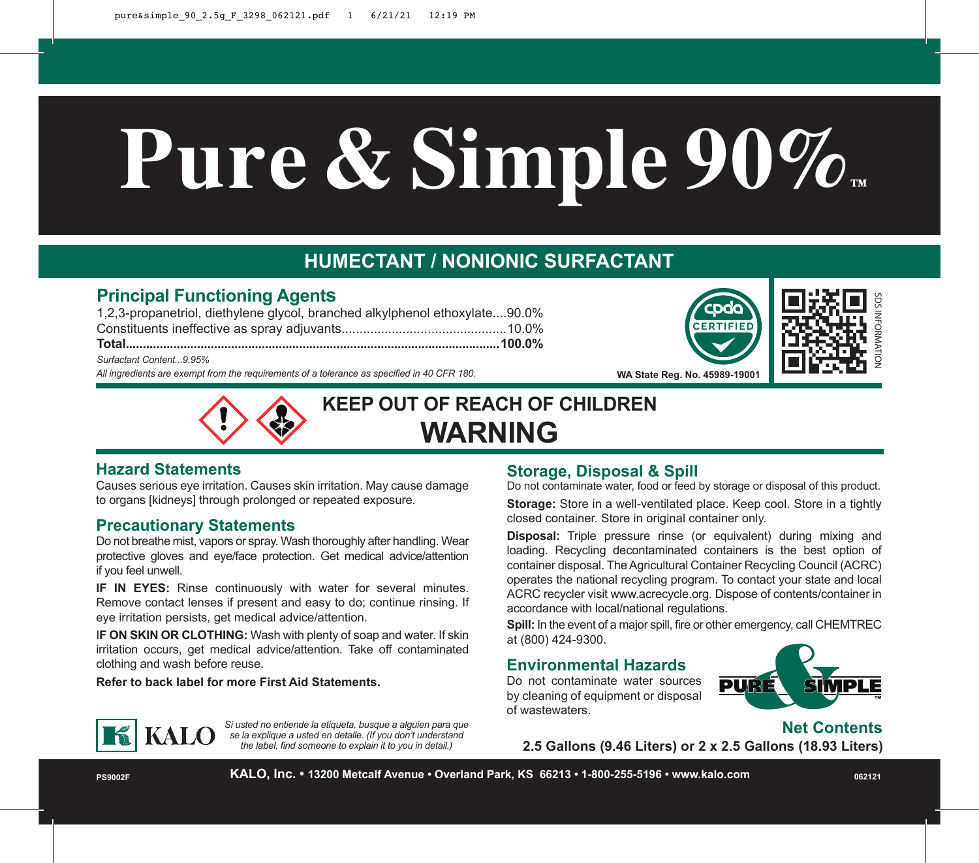# **Pure & Simple 90%™**

## **HUMECTANT / NONIONIC SURFACTANT**

### **Principal Functioning Agents**

*All ingredients are exempt from the requirements of a tolerance as specified in 40 CFR 180.* 1,2,3-propanetriol, diethylene glycol, branched alkylphenol ethoxylate....90.0% Constituents ineffective as spray adjuvants..............................................10.0% **Total..............................................................................................................100.0%** *Surfactant Content...9.95%*





**WA State Reg. No. 45989-19001**



**KEEP OUT OF REACH OF CHILDREN WARNING**

#### **Hazard Statements**

Causes serious eye irritation. Causes skin irritation. May cause damage to organs [kidneys] through prolonged or repeated exposure.

#### **Precautionary Statements**

Do not breathe mist, vapors or spray. Wash thoroughly after handling. Wear protective gloves and eye/face protection. Get medical advice/attention if you feel unwell.

**IF IN EYES:** Rinse continuously with water for several minutes. Remove contact lenses if present and easy to do; continue rinsing. If eye irritation persists, get medical advice/attention.

I**F ON SKIN OR CLOTHING:** Wash with plenty of soap and water. If skin irritation occurs, get medical advice/attention. Take off contaminated clothing and wash before reuse.

**KALO** se la explique a usted en detaile. (If you don't understand

*Si usted no entiende la etiqueta, busque a alguien para que* 

*the label, find someone to explain it to you in detail.)*

**Refer to back label for more First Aid Statements.**

#### **Storage, Disposal & Spill**

Do not contaminate water, food or feed by storage or disposal of this product.

**Storage:** Store in a well-ventilated place. Keep cool. Store in a tightly closed container. Store in original container only.

**Disposal:** Triple pressure rinse (or equivalent) during mixing and loading. Recycling decontaminated containers is the best option of container disposal. The Agricultural Container Recycling Council (ACRC) operates the national recycling program. To contact your state and local ACRC recycler visit www.acrecycle.org. Dispose of contents/container in accordance with local/national regulations. ™SDS INFORMATION

**Spill:** In the event of a major spill, fire or other emergency, call CHEMTREC at (800) 424-9300.

#### **Environmental Hazards**

Do not contaminate water sources by cleaning of equipment or disposal of wastewaters.



**Net Contents**

**2.5 Gallons (9.46 Liters) or 2 x 2.5 Gallons (18.93 Liters)**

**PS9002F KALO, Inc. • 13200 Metcalf Avenue • Overland Park, KS 66213 • 1-800-255-5196 • www.kalo.com <sup>062121</sup>**